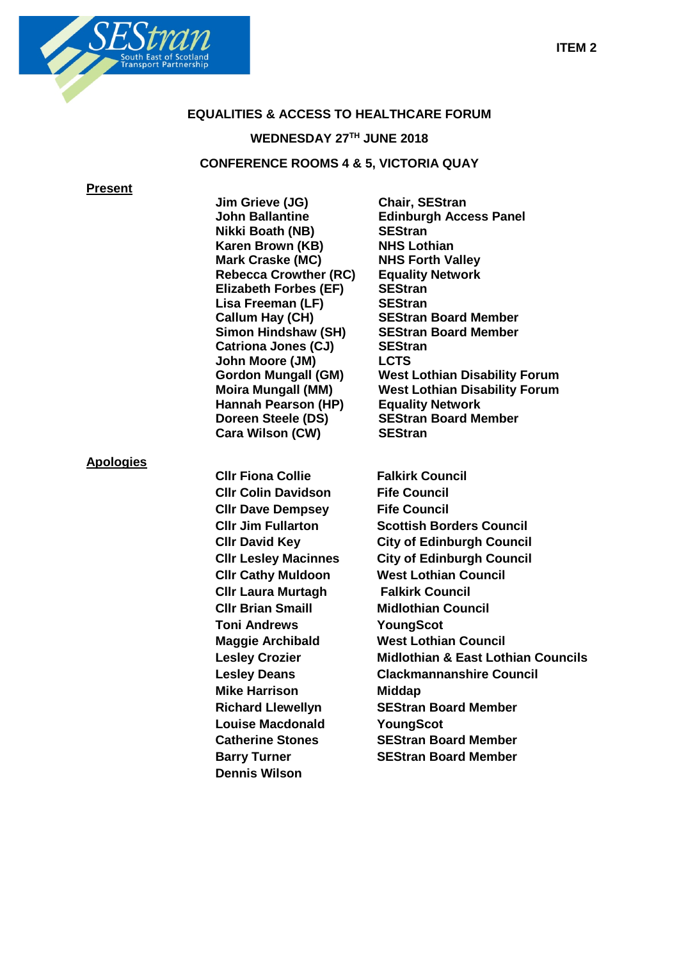

## **EQUALITIES & ACCESS TO HEALTHCARE FORUM**

# **WEDNESDAY 27TH JUNE 2018**

#### **CONFERENCE ROOMS 4 & 5, VICTORIA QUAY**

### **Present**

| Jim Grieve (JG)              |
|------------------------------|
| <b>John Ballantine</b>       |
| Nikki Boath (NB)             |
| Karen Brown (KB)             |
| <b>Mark Craske (MC)</b>      |
| <b>Rebecca Crowther (RC)</b> |
| Elizabeth Forbes (EF)        |
| Lisa Freeman (LF)            |
| Callum Hay (CH)              |
| Simon Hindshaw (SH)          |
| <b>Catriona Jones (CJ)</b>   |
| John Moore (JM)              |
| <b>Gordon Mungall (GM)</b>   |
| <b>Moira Mungall (MM)</b>    |
| <b>Hannah Pearson (HP)</b>   |
| Doreen Steele (DS)           |
| Cara Wilson (CW)             |
|                              |

**Jim Grieve (JG) Chair, SEStran Edinburgh Access Panel**  $SEStran$ **NHS Lothian NHS Forth Valley Equality Network SEStran SEStran SEStran Board Member SEStran Board Member SEStran John Moore (JM) LCTS West Lothian Disability Forum West Lothian Disability Forum Equality Network SEStran Board Member SEStran** 

#### **Apologies**

**Cllr Fiona Collie Falkirk Council Cllr Colin Davidson Fife Council Cllr Dave Dempsey Fife Council Cllr Jim Fullarton Scottish Borders Council Cllr David Key City of Edinburgh Council Cllr Lesley Macinnes City of Edinburgh Council Cllr Cathy Muldoon West Lothian Council Cllr Laura Murtagh Falkirk Council Cllr Brian Smaill Midlothian Council Toni Andrews YoungScot Maggie Archibald West Lothian Council Lesley Crozier Midlothian & East Lothian Councils Lesley Deans Clackmannanshire Council Mike Harrison Middap Richard Llewellyn SEStran Board Member Louise Macdonald YoungScot Catherine Stones SEStran Board Member Barry Turner SEStran Board Member Dennis Wilson**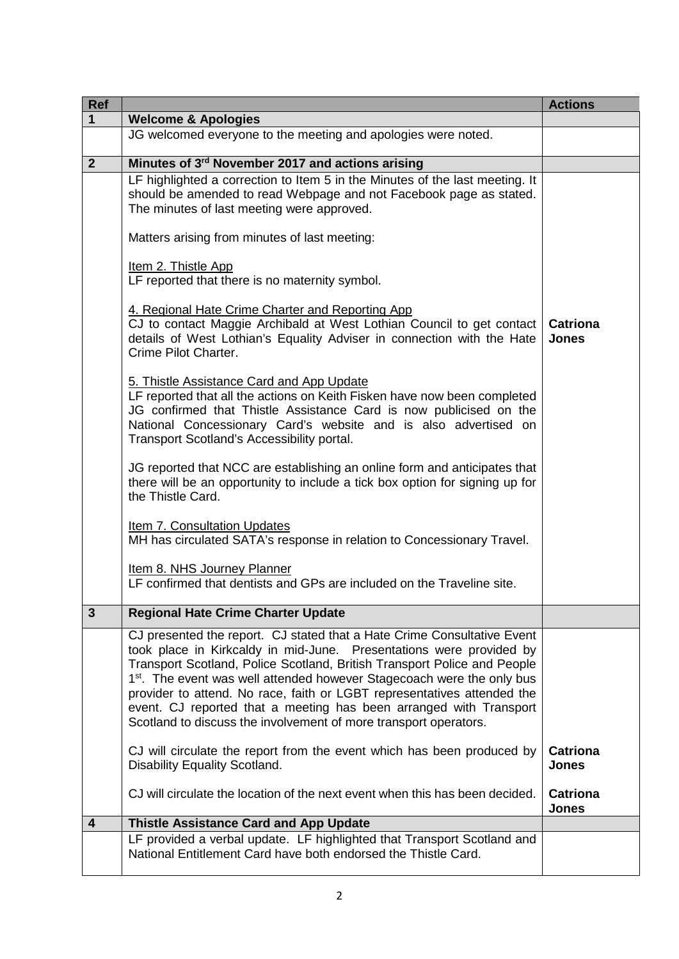| <b>Ref</b>     |                                                                                                                                                                                                                                                                                                                                                                                                                                                                                                                                                                                                                                                                                                                                                                                                                                                                                                                                                                                                                                                                                                                                                                                                                                                                                                     | <b>Actions</b>                                     |
|----------------|-----------------------------------------------------------------------------------------------------------------------------------------------------------------------------------------------------------------------------------------------------------------------------------------------------------------------------------------------------------------------------------------------------------------------------------------------------------------------------------------------------------------------------------------------------------------------------------------------------------------------------------------------------------------------------------------------------------------------------------------------------------------------------------------------------------------------------------------------------------------------------------------------------------------------------------------------------------------------------------------------------------------------------------------------------------------------------------------------------------------------------------------------------------------------------------------------------------------------------------------------------------------------------------------------------|----------------------------------------------------|
| $\mathbf{1}$   | <b>Welcome &amp; Apologies</b>                                                                                                                                                                                                                                                                                                                                                                                                                                                                                                                                                                                                                                                                                                                                                                                                                                                                                                                                                                                                                                                                                                                                                                                                                                                                      |                                                    |
|                | JG welcomed everyone to the meeting and apologies were noted.                                                                                                                                                                                                                                                                                                                                                                                                                                                                                                                                                                                                                                                                                                                                                                                                                                                                                                                                                                                                                                                                                                                                                                                                                                       |                                                    |
| $\overline{2}$ | Minutes of 3rd November 2017 and actions arising                                                                                                                                                                                                                                                                                                                                                                                                                                                                                                                                                                                                                                                                                                                                                                                                                                                                                                                                                                                                                                                                                                                                                                                                                                                    |                                                    |
|                | LF highlighted a correction to Item 5 in the Minutes of the last meeting. It<br>should be amended to read Webpage and not Facebook page as stated.<br>The minutes of last meeting were approved.<br>Matters arising from minutes of last meeting:<br><u>Item 2. Thistle App</u><br>LF reported that there is no maternity symbol.<br>4. Regional Hate Crime Charter and Reporting App<br>CJ to contact Maggie Archibald at West Lothian Council to get contact<br>details of West Lothian's Equality Adviser in connection with the Hate<br>Crime Pilot Charter.<br>5. Thistle Assistance Card and App Update<br>LF reported that all the actions on Keith Fisken have now been completed<br>JG confirmed that Thistle Assistance Card is now publicised on the<br>National Concessionary Card's website and is also advertised on<br>Transport Scotland's Accessibility portal.<br>JG reported that NCC are establishing an online form and anticipates that<br>there will be an opportunity to include a tick box option for signing up for<br>the Thistle Card.<br><b>Item 7. Consultation Updates</b><br>MH has circulated SATA's response in relation to Concessionary Travel.<br><b>Item 8. NHS Journey Planner</b><br>LF confirmed that dentists and GPs are included on the Traveline site. | <b>Catriona</b><br><b>Jones</b>                    |
| $\mathbf{3}$   | <b>Regional Hate Crime Charter Update</b>                                                                                                                                                                                                                                                                                                                                                                                                                                                                                                                                                                                                                                                                                                                                                                                                                                                                                                                                                                                                                                                                                                                                                                                                                                                           |                                                    |
|                | CJ presented the report. CJ stated that a Hate Crime Consultative Event<br>took place in Kirkcaldy in mid-June. Presentations were provided by<br>Transport Scotland, Police Scotland, British Transport Police and People<br>1 <sup>st</sup> . The event was well attended however Stagecoach were the only bus<br>provider to attend. No race, faith or LGBT representatives attended the<br>event. CJ reported that a meeting has been arranged with Transport<br>Scotland to discuss the involvement of more transport operators.<br>CJ will circulate the report from the event which has been produced by<br>Disability Equality Scotland.<br>CJ will circulate the location of the next event when this has been decided.                                                                                                                                                                                                                                                                                                                                                                                                                                                                                                                                                                    | <b>Catriona</b><br><b>Jones</b><br><b>Catriona</b> |
|                |                                                                                                                                                                                                                                                                                                                                                                                                                                                                                                                                                                                                                                                                                                                                                                                                                                                                                                                                                                                                                                                                                                                                                                                                                                                                                                     | <b>Jones</b>                                       |
| 4              | <b>Thistle Assistance Card and App Update</b>                                                                                                                                                                                                                                                                                                                                                                                                                                                                                                                                                                                                                                                                                                                                                                                                                                                                                                                                                                                                                                                                                                                                                                                                                                                       |                                                    |
|                | LF provided a verbal update. LF highlighted that Transport Scotland and<br>National Entitlement Card have both endorsed the Thistle Card.                                                                                                                                                                                                                                                                                                                                                                                                                                                                                                                                                                                                                                                                                                                                                                                                                                                                                                                                                                                                                                                                                                                                                           |                                                    |